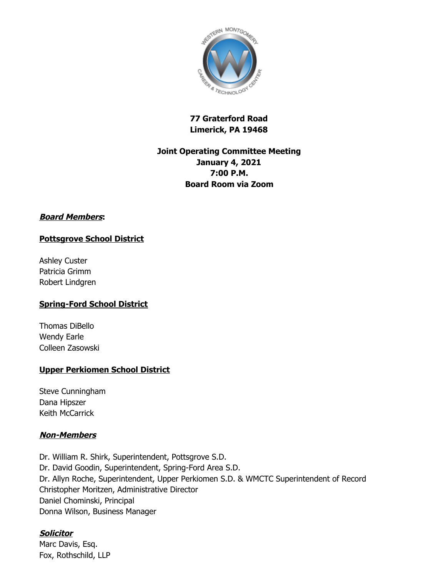

# **77 Graterford Road Limerick, PA 19468**

# **Joint Operating Committee Meeting January 4, 2021 7:00 P.M. Board Room via Zoom**

### **Board Members:**

# **Pottsgrove School District**

Ashley Custer Patricia Grimm Robert Lindgren

# **Spring-Ford School District**

Thomas DiBello Wendy Earle Colleen Zasowski

### **Upper Perkiomen School District**

Steve Cunningham Dana Hipszer Keith McCarrick

### **Non-Members**

Dr. William R. Shirk, Superintendent, Pottsgrove S.D. Dr. David Goodin, Superintendent, Spring-Ford Area S.D. Dr. Allyn Roche, Superintendent, Upper Perkiomen S.D. & WMCTC Superintendent of Record Christopher Moritzen, Administrative Director Daniel Chominski, Principal Donna Wilson, Business Manager

# **Solicitor**

Marc Davis, Esq. Fox, Rothschild, LLP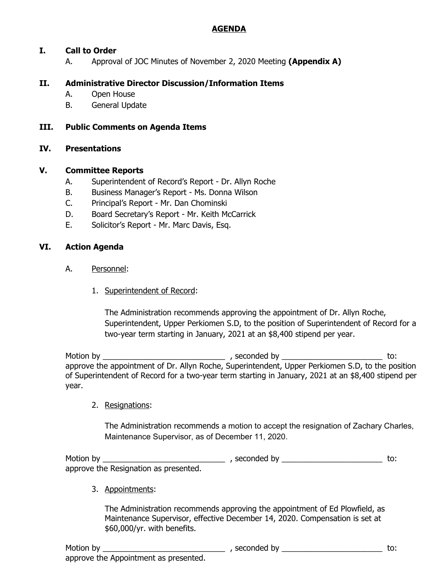## **AGENDA**

# **I. Call to Order**

A. Approval of JOC Minutes of November 2, 2020 Meeting **(Appendix A)**

## **II. Administrative Director Discussion/Information Items**

- A. Open House
- B. General Update

### **III. Public Comments on Agenda Items**

#### **IV. Presentations**

#### **V. Committee Reports**

- A. Superintendent of Record's Report Dr. Allyn Roche
- B. Business Manager's Report Ms. Donna Wilson
- C. Principal's Report Mr. Dan Chominski
- D. Board Secretary's Report Mr. Keith McCarrick
- E. Solicitor's Report Mr. Marc Davis, Esq.

#### **VI. Action Agenda**

- A. Personnel:
	- 1. Superintendent of Record:

The Administration recommends approving the appointment of Dr. Allyn Roche, Superintendent, Upper Perkiomen S.D, to the position of Superintendent of Record for a two-year term starting in January, 2021 at an \$8,400 stipend per year.

Motion by \_\_\_\_\_\_\_\_\_\_\_\_\_\_\_\_\_\_\_\_\_\_\_\_\_\_\_\_ , seconded by \_\_\_\_\_\_\_\_\_\_\_\_\_\_\_\_\_\_\_\_\_\_\_ to: approve the appointment of Dr. Allyn Roche, Superintendent, Upper Perkiomen S.D, to the position of Superintendent of Record for a two-year term starting in January, 2021 at an \$8,400 stipend per year.

2. Resignations:

The Administration recommends a motion to accept the resignation of Zachary Charles, Maintenance Supervisor, as of December 11, 2020.

Motion by \_\_\_\_\_\_\_\_\_\_\_\_\_\_\_\_\_\_\_\_\_\_\_\_\_\_\_\_ , seconded by \_\_\_\_\_\_\_\_\_\_\_\_\_\_\_\_\_\_\_\_\_\_\_ to: approve the Resignation as presented.

3. Appointments:

The Administration recommends approving the appointment of Ed Plowfield, as Maintenance Supervisor, effective December 14, 2020. Compensation is set at \$60,000/yr. with benefits.

Motion by \_\_\_\_\_\_\_\_\_\_\_\_\_\_\_\_\_\_\_\_\_\_\_\_\_\_\_\_ , seconded by \_\_\_\_\_\_\_\_\_\_\_\_\_\_\_\_\_\_\_\_\_\_\_ to: approve the Appointment as presented.